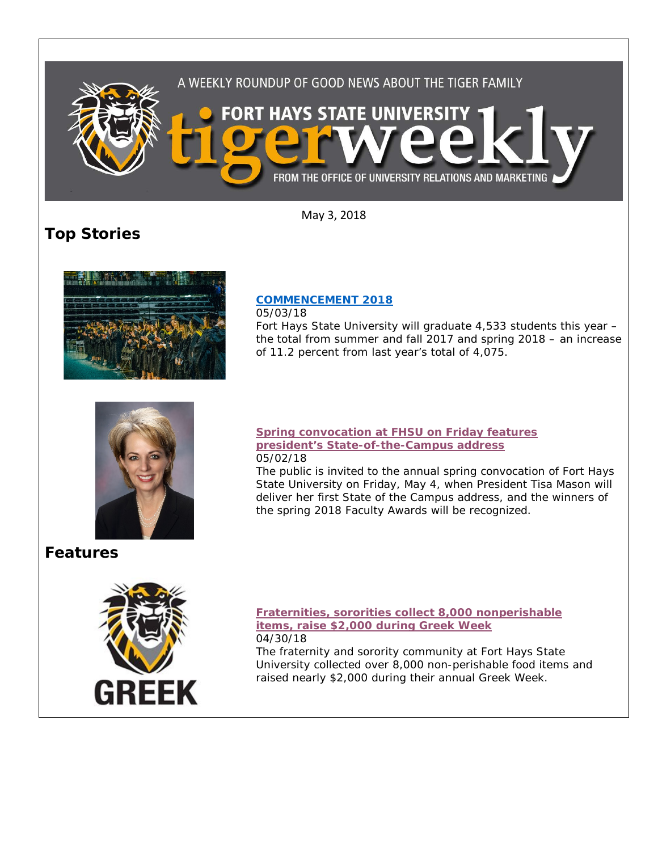

May 3, 2018

# **Top Stories**



## **[COMMENCEMENT 2018](https://www.fhsu.edu/news/2018/05/commencement-2018.html)**

05/03/18

Fort Hays State University will graduate 4,533 students this year – the total from summer and fall 2017 and spring 2018 – an increase of 11.2 percent from last year's total of 4,075.



**Features**



### **[Spring convocation at FHSU on Friday features](https://www.fhsu.edu/news/2018/05/spring-convocation-at-fhsu-on-friday-features-presidents-state-of-the-campus-address-winners-of-spring-faculty-awards-to-be-recognized.html)  [president's State-of-the-Campus address](https://www.fhsu.edu/news/2018/05/spring-convocation-at-fhsu-on-friday-features-presidents-state-of-the-campus-address-winners-of-spring-faculty-awards-to-be-recognized.html)** 05/02/18

The public is invited to the annual spring convocation of Fort Hays State University on Friday, May 4, when President Tisa Mason will deliver her first State of the Campus address, and the winners of the spring 2018 Faculty Awards will be recognized.

### **[Fraternities, sororities collect 8,000 nonperishable](https://www.fhsu.edu/news/2018/04/fraternities,-sororities-collect-8,000-nonperishable-items,-raise-2,000-during-greek-week.html)  [items, raise \\$2,000 during Greek Week](https://www.fhsu.edu/news/2018/04/fraternities,-sororities-collect-8,000-nonperishable-items,-raise-2,000-during-greek-week.html)** 04/30/18

The fraternity and sorority community at Fort Hays State University collected over 8,000 non-perishable food items and raised nearly \$2,000 during their annual Greek Week.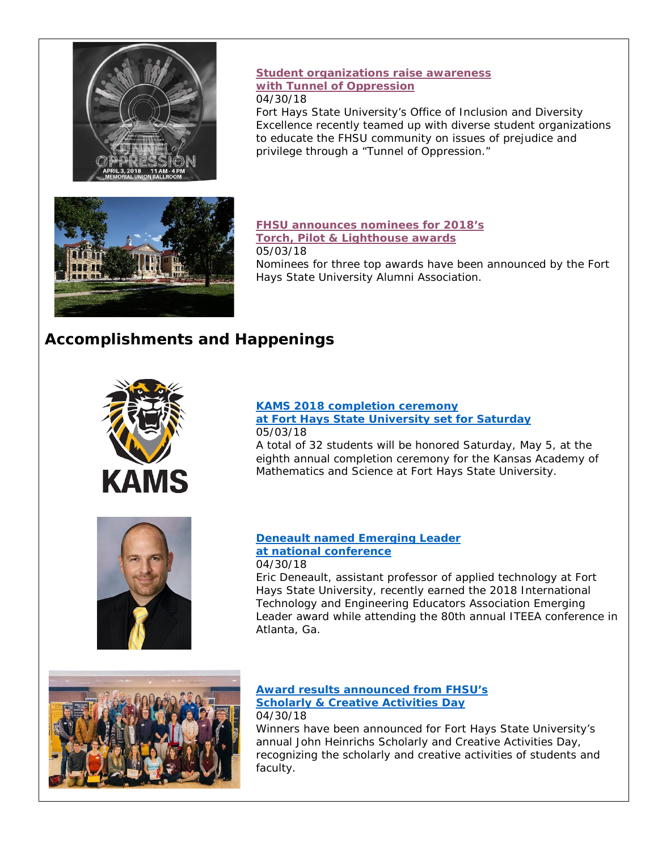

## **Student [organizations raise awareness](https://www.fhsu.edu/news/2018/04/student-organizations-raise-awareness-with-tunnel-of-oppression.html)  [with Tunnel of Oppression](https://www.fhsu.edu/news/2018/04/student-organizations-raise-awareness-with-tunnel-of-oppression.html)** 04/30/18

Fort Hays State University's Office of Inclusion and Diversity Excellence recently teamed up with diverse student organizations to educate the FHSU community on issues of prejudice and privilege through a "Tunnel of Oppression."



#### **[FHSU announces nominees for 2018's](https://www.fhsu.edu/news/2018/05/fhsu-announces-nominees-for-2018s-torch,-pilot-lighthouse-awards.html)  [Torch, Pilot & Lighthouse awards](https://www.fhsu.edu/news/2018/05/fhsu-announces-nominees-for-2018s-torch,-pilot-lighthouse-awards.html)** 05/03/18

Nominees for three top awards have been announced by the Fort Hays State University Alumni Association.

# **Accomplishments and Happenings**



## **[KAMS 2018 completion ceremony](https://www.fhsu.edu/news/2018/05/kams-2018-completion-ceremony-at-fort-hays-state-university-set-for-saturday.html)  [at Fort Hays State University set for Saturday](https://www.fhsu.edu/news/2018/05/kams-2018-completion-ceremony-at-fort-hays-state-university-set-for-saturday.html)** 05/03/18

A total of 32 students will be honored Saturday, May 5, at the eighth annual completion ceremony for the Kansas Academy of Mathematics and Science at Fort Hays State University.



### **[Deneault named Emerging Leader](https://www.fhsu.edu/news/2018/04/deneault-named-emerging-leader-at-national-conference.html)  [at national conference](https://www.fhsu.edu/news/2018/04/deneault-named-emerging-leader-at-national-conference.html)** 04/30/18

Eric Deneault, assistant professor of applied technology at Fort Hays State University, recently earned the 2018 International Technology and Engineering Educators Association Emerging Leader award while attending the 80th annual ITEEA conference in Atlanta, Ga.



**[Award results announced from FHSU's](https://www.fhsu.edu/news/2018/04/award-results-announced-from-fhsus-scholarly-creative-activities-day.html)  [Scholarly & Creative Activities Day](https://www.fhsu.edu/news/2018/04/award-results-announced-from-fhsus-scholarly-creative-activities-day.html)** 04/30/18

Winners have been announced for Fort Hays State University's annual John Heinrichs Scholarly and Creative Activities Day, recognizing the scholarly and creative activities of students and faculty.